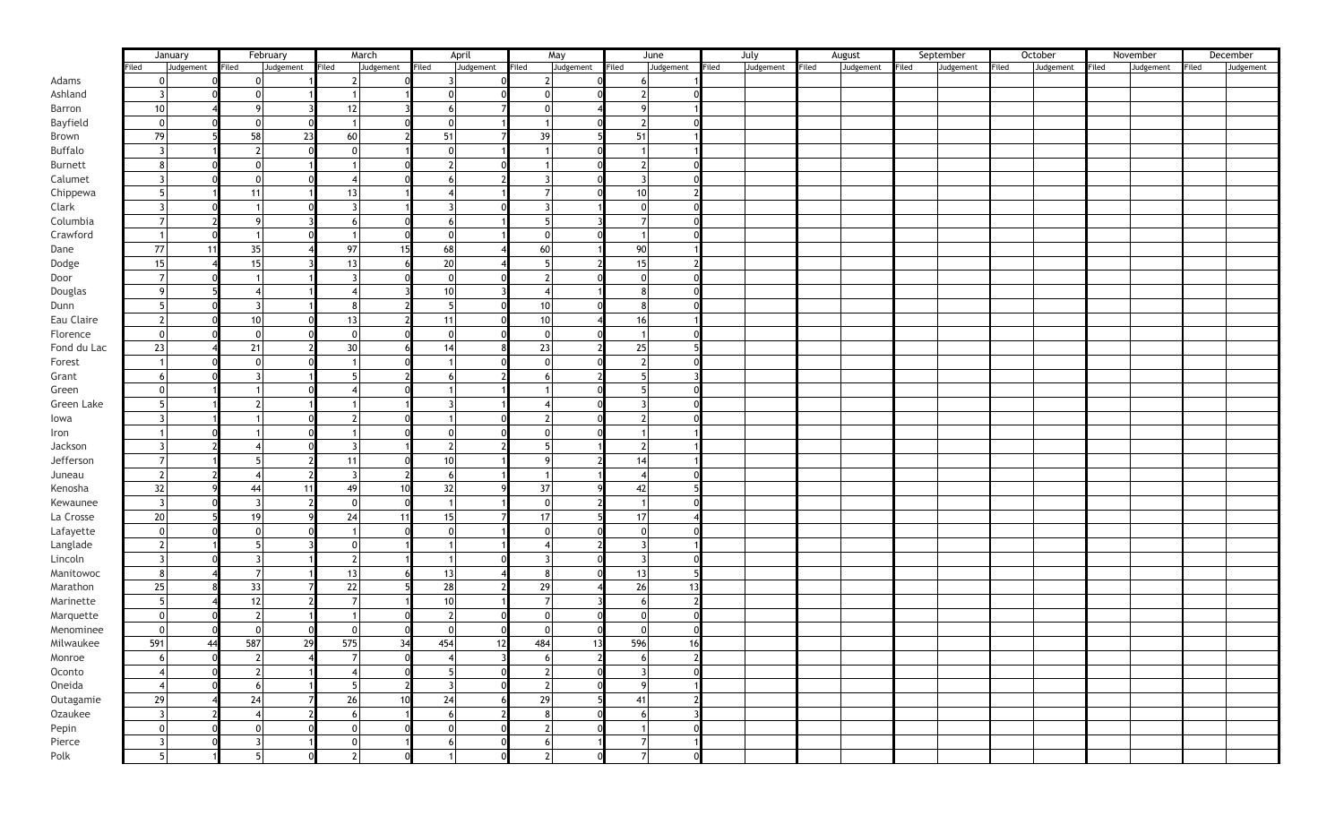|             |                                  | January   |                         | February  |                         | March     |                | April     | May                      |           | June  |           | July  |           | August |           | September |           | October |           | November |           | December |           |
|-------------|----------------------------------|-----------|-------------------------|-----------|-------------------------|-----------|----------------|-----------|--------------------------|-----------|-------|-----------|-------|-----------|--------|-----------|-----------|-----------|---------|-----------|----------|-----------|----------|-----------|
|             | Filed                            | Judgement | Filed                   | Judgement | Filed                   | Judgement | Filed          | Judgement | Filed                    | Judgement | Filed | Judgement | Filed | Judgement | Filed  | Judgement | Filed     | Judgement | Filed   | Judgement | Filed    | Judgement | Filed    | Judgement |
| Adams       | $\Omega$                         |           | $\Omega$                |           |                         |           |                |           |                          |           |       |           |       |           |        |           |           |           |         |           |          |           |          |           |
| Ashland     | 3                                |           | $\mathbf{0}$            |           |                         |           | $\Omega$       |           | 0                        |           |       |           |       |           |        |           |           |           |         |           |          |           |          |           |
| Barron      | 10                               |           | $\mathbf{Q}$            |           | 12                      |           | 6              |           | $\mathbf{0}$             |           |       |           |       |           |        |           |           |           |         |           |          |           |          |           |
|             |                                  |           |                         |           |                         |           |                |           |                          |           |       |           |       |           |        |           |           |           |         |           |          |           |          |           |
| Bayfield    | $\mathbf 0$                      |           | $\overline{0}$          |           |                         |           | 0              |           |                          |           | - 2   |           |       |           |        |           |           |           |         |           |          |           |          |           |
| Brown       | 79                               |           | 58                      | 23        | 60                      |           | 51             |           | 39                       |           | 51    |           |       |           |        |           |           |           |         |           |          |           |          |           |
| Buffalo     | $\overline{3}$                   |           | $\overline{2}$          |           | $\Omega$                |           | 0              |           |                          |           |       |           |       |           |        |           |           |           |         |           |          |           |          |           |
| Burnett     | 8                                |           | $\Omega$                |           |                         |           | $\overline{2}$ |           |                          |           |       |           |       |           |        |           |           |           |         |           |          |           |          |           |
| Calumet     | $\overline{3}$                   |           | $\Omega$                |           | $\overline{4}$          |           | 6              |           | $\overline{3}$           |           |       |           |       |           |        |           |           |           |         |           |          |           |          |           |
| Chippewa    | -5                               |           | 11                      |           | 13                      |           | 4              |           | $\overline{7}$           |           | 10    |           |       |           |        |           |           |           |         |           |          |           |          |           |
| Clark       | $\overline{3}$                   |           |                         |           | $\overline{3}$          |           | 3              |           | $\overline{3}$           |           | n     |           |       |           |        |           |           |           |         |           |          |           |          |           |
| Columbia    | $\overline{7}$                   |           | $\mathbf{Q}$            |           | 6                       |           | 6              |           | $5\overline{2}$          |           |       |           |       |           |        |           |           |           |         |           |          |           |          |           |
| Crawford    |                                  |           |                         |           |                         |           | $\overline{0}$ |           | $\overline{0}$           |           |       |           |       |           |        |           |           |           |         |           |          |           |          |           |
| Dane        | 77                               | -11       | 35                      |           | 97                      | 15        | 68             |           | 60                       |           | 90    |           |       |           |        |           |           |           |         |           |          |           |          |           |
| Dodge       | 15                               |           | 15                      |           | 13                      |           | 20             |           | 5 <sub>l</sub>           |           | 15    |           |       |           |        |           |           |           |         |           |          |           |          |           |
| Door        | $\overline{7}$                   |           |                         |           | $\mathbf{3}$            |           | $\Omega$       |           | $\overline{2}$           |           |       |           |       |           |        |           |           |           |         |           |          |           |          |           |
|             | 9                                |           | $\overline{\mathbf{4}}$ |           | $\overline{4}$          |           |                |           |                          |           |       |           |       |           |        |           |           |           |         |           |          |           |          |           |
| Douglas     |                                  |           |                         |           |                         |           | 10             |           |                          |           |       |           |       |           |        |           |           |           |         |           |          |           |          |           |
| Dunn        | -5                               |           | $\overline{3}$          |           | 8                       |           | 5              |           | 10 <sup>1</sup>          |           |       |           |       |           |        |           |           |           |         |           |          |           |          |           |
| Eau Claire  | $\overline{2}$                   |           | 10 <sup>1</sup>         |           | 13                      |           | 11             |           | 10 <sup>1</sup>          |           | 16    |           |       |           |        |           |           |           |         |           |          |           |          |           |
| Florence    | $\mathbf 0$                      |           | $\Omega$                |           | $\Omega$                |           | 0              |           | 0                        |           |       |           |       |           |        |           |           |           |         |           |          |           |          |           |
| Fond du Lac | 23                               |           | 21                      |           | 30                      |           | 14             |           | 23                       |           | 25    |           |       |           |        |           |           |           |         |           |          |           |          |           |
| Forest      |                                  |           | $\Omega$                |           | -1                      |           |                |           | $\mathbf{0}$             |           |       |           |       |           |        |           |           |           |         |           |          |           |          |           |
| Grant       | 6                                |           | ्र                      |           | 5 <sup>1</sup>          |           | -6             |           | 6                        |           |       |           |       |           |        |           |           |           |         |           |          |           |          |           |
| Green       | $\mathbf 0$                      |           |                         |           | $\boldsymbol{\Delta}$   |           |                |           |                          |           |       |           |       |           |        |           |           |           |         |           |          |           |          |           |
| Green Lake  | -51                              |           | $\mathcal{P}$           |           |                         |           |                |           |                          |           |       |           |       |           |        |           |           |           |         |           |          |           |          |           |
| lowa        | $\overline{3}$                   |           |                         |           | 2 <sub>1</sub>          |           |                |           | $\overline{2}$           |           |       |           |       |           |        |           |           |           |         |           |          |           |          |           |
| Iron        |                                  |           |                         |           |                         |           | $\Omega$       |           | $\overline{0}$           |           |       |           |       |           |        |           |           |           |         |           |          |           |          |           |
| Jackson     | 3                                |           | 4                       |           | $\overline{3}$          |           | 2              |           | - 5                      |           |       |           |       |           |        |           |           |           |         |           |          |           |          |           |
| Jefferson   |                                  |           | 5                       |           | 11                      |           | 10             |           | q                        |           | 14    |           |       |           |        |           |           |           |         |           |          |           |          |           |
| Juneau      | $\overline{2}$                   |           | $\overline{\bf{4}}$     |           | $\overline{\mathbf{3}}$ |           | -6             |           |                          |           |       |           |       |           |        |           |           |           |         |           |          |           |          |           |
| Kenosha     | 32                               |           | 44                      | 11        | 49                      | 10        | 32             |           | 37                       |           | 42    |           |       |           |        |           |           |           |         |           |          |           |          |           |
|             | $\overline{\mathbf{3}}$          |           | $\overline{3}$          |           | $\mathbf 0$             |           |                |           |                          |           |       |           |       |           |        |           |           |           |         |           |          |           |          |           |
| Kewaunee    |                                  |           | 19                      |           |                         |           |                |           | $\overline{0}$           |           |       |           |       |           |        |           |           |           |         |           |          |           |          |           |
| La Crosse   | 20                               |           |                         |           | 24                      | 11        | 15             |           | 17                       |           | 17    |           |       |           |        |           |           |           |         |           |          |           |          |           |
| Lafayette   | $\mathbf 0$                      |           | $\mathbf{0}$            |           |                         |           | $\overline{0}$ |           | $\overline{0}$           |           | n     |           |       |           |        |           |           |           |         |           |          |           |          |           |
| Langlade    | $\overline{2}$                   |           | 5                       |           | $\mathbf 0$             |           |                |           | -4                       |           |       |           |       |           |        |           |           |           |         |           |          |           |          |           |
| Lincoln     | $\overline{3}$                   |           | $\overline{3}$          |           | $\overline{2}$          |           |                |           |                          |           |       |           |       |           |        |           |           |           |         |           |          |           |          |           |
| Manitowoc   | 8                                |           | $\overline{7}$          |           | 13                      |           | 13             |           | 8                        |           | 13    |           |       |           |        |           |           |           |         |           |          |           |          |           |
| Marathon    | 25                               |           | 33                      |           | 22                      |           | 28             |           | 29                       |           | 26    |           |       |           |        |           |           |           |         |           |          |           |          |           |
| Marinette   | -5                               |           | 12                      |           | $\overline{7}$          |           | 10             |           | $\overline{7}$           |           | 6     |           |       |           |        |           |           |           |         |           |          |           |          |           |
| Marquette   | $\mathbf 0$                      |           | $\overline{2}$          |           |                         |           | $\mathcal{P}$  |           | $\overline{0}$           |           |       |           |       |           |        |           |           |           |         |           |          |           |          |           |
| Menominee   | $\mathbf 0$                      |           | $\Omega$                |           | $\mathbf{0}$            |           | $\Omega$       |           | $\overline{0}$           |           |       |           |       |           |        |           |           |           |         |           |          |           |          |           |
| Milwaukee   | 591                              |           | 587                     | 29        | 575                     | 34        | 454            | 12        | 484                      | 13        | 596   |           |       |           |        |           |           |           |         |           |          |           |          |           |
| Monroe      | 6                                |           | $\overline{2}$          |           | 7                       |           |                |           | -6                       |           | 6     |           |       |           |        |           |           |           |         |           |          |           |          |           |
| Oconto      | -4                               |           | $\overline{2}$          |           | $\overline{4}$          |           | 5              |           | $\overline{2}$           |           |       |           |       |           |        |           |           |           |         |           |          |           |          |           |
| Oneida      | $\overline{4}$                   |           | 6 <sup>1</sup>          |           | -51                     |           | -3             |           | $\overline{2}$           |           | q     |           |       |           |        |           |           |           |         |           |          |           |          |           |
| Outagamie   | 29                               |           | 24                      |           | 26                      | 10        | 24             |           | 29                       |           | 41    |           |       |           |        |           |           |           |         |           |          |           |          |           |
| Ozaukee     | $\overline{\mathbf{3}}$          |           | $\overline{4}$          |           | 6                       |           | -6             |           | 8                        |           | 6     |           |       |           |        |           |           |           |         |           |          |           |          |           |
|             |                                  |           | $\overline{0}$          |           | $\overline{0}$          |           | $\overline{0}$ |           |                          |           |       |           |       |           |        |           |           |           |         |           |          |           |          |           |
| Pepin       | $\overline{0}$<br>$\overline{3}$ |           | $\overline{3}$          |           | $\overline{0}$          |           |                |           | $\overline{2}$           |           |       |           |       |           |        |           |           |           |         |           |          |           |          |           |
| Pierce      |                                  |           |                         |           |                         |           | 6              |           | $6 \overline{6}$         |           |       |           |       |           |        |           |           |           |         |           |          |           |          |           |
| Polk        |                                  |           |                         |           | $\overline{2}$          |           |                |           | $\overline{\phantom{a}}$ |           |       |           |       |           |        |           |           |           |         |           |          |           |          |           |